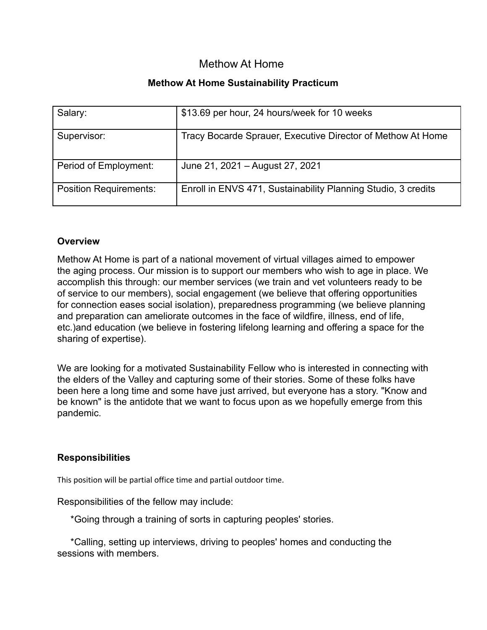# Methow At Home

### **Methow At Home Sustainability Practicum**

| Salary:                       | \$13.69 per hour, 24 hours/week for 10 weeks                  |
|-------------------------------|---------------------------------------------------------------|
| Supervisor:                   | Tracy Bocarde Sprauer, Executive Director of Methow At Home   |
| Period of Employment:         | June 21, 2021 – August 27, 2021                               |
| <b>Position Requirements:</b> | Enroll in ENVS 471, Sustainability Planning Studio, 3 credits |

#### **Overview**

Methow At Home is part of a national movement of virtual villages aimed to empower the aging process. Our mission is to support our members who wish to age in place. We accomplish this through: our member services (we train and vet volunteers ready to be of service to our members), social engagement (we believe that offering opportunities for connection eases social isolation), preparedness programming (we believe planning and preparation can ameliorate outcomes in the face of wildfire, illness, end of life, etc.)and education (we believe in fostering lifelong learning and offering a space for the sharing of expertise).

We are looking for a motivated Sustainability Fellow who is interested in connecting with the elders of the Valley and capturing some of their stories. Some of these folks have been here a long time and some have just arrived, but everyone has a story. "Know and be known" is the antidote that we want to focus upon as we hopefully emerge from this pandemic.

### **Responsibilities**

This position will be partial office time and partial outdoor time.

Responsibilities of the fellow may include:

\*Going through a training of sorts in capturing peoples' stories.

\*Calling, setting up interviews, driving to peoples' homes and conducting the sessions with members.